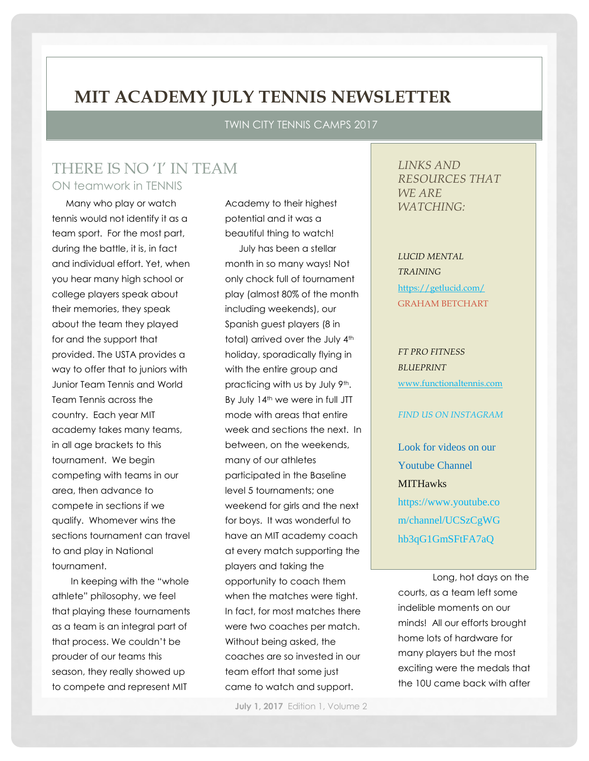## **MIT ACADEMY JULY TENNIS NEWSLETTER**

TWIN CITY TENNIS CAMPS 2017

## THERE IS NO 'I' IN TEAM ON teamwork in TENNIS

Many who play or watch tennis would not identify it as a team sport. For the most part, during the battle, it is, in fact and individual effort. Yet, when you hear many high school or college players speak about their memories, they speak about the team they played for and the support that provided. The USTA provides a way to offer that to juniors with Junior Team Tennis and World Team Tennis across the country. Each year MIT academy takes many teams, in all age brackets to this tournament. We begin competing with teams in our area, then advance to compete in sections if we qualify. Whomever wins the sections tournament can travel to and play in National tournament.

 In keeping with the "whole athlete" philosophy, we feel that playing these tournaments as a team is an integral part of that process. We couldn't be prouder of our teams this season, they really showed up to compete and represent MIT

Academy to their highest potential and it was a beautiful thing to watch! July has been a stellar month in so many ways! Not only chock full of tournament play (almost 80% of the month including weekends), our Spanish guest players (8 in total) arrived over the July 4<sup>th</sup> holiday, sporadically flying in with the entire group and practicing with us by July 9th. By July 14<sup>th</sup> we were in full JTT mode with areas that entire week and sections the next. In between, on the weekends, many of our athletes participated in the Baseline level 5 tournaments; one weekend for girls and the next for boys. It was wonderful to have an MIT academy coach at every match supporting the players and taking the opportunity to coach them when the matches were tight. In fact, for most matches there were two coaches per match. Without being asked, the coaches are so invested in our team effort that some just came to watch and support.

**July 1, 2017** Edition 1, Volume 2

*LINKS AND RESOURCES THAT WE ARE WATCHING:*

*LUCID MENTAL TRAINING* <https://getlucid.com/> GRAHAM BETCHART

*FT PRO FITNESS BLUEPRINT* [www.functionaltennis.com](http://www.functionaltennis.com/)

#### *FIND US ON INSTAGRAM*

Look for videos on our Youtube Channel **MITHawks** https://www.youtube.co m/channel/UCSzCgWG hb3qG1GmSFtFA7aQ

Long, hot days on the courts, as a team left some indelible moments on our minds! All our efforts brought home lots of hardware for many players but the most exciting were the medals that the 10U came back with after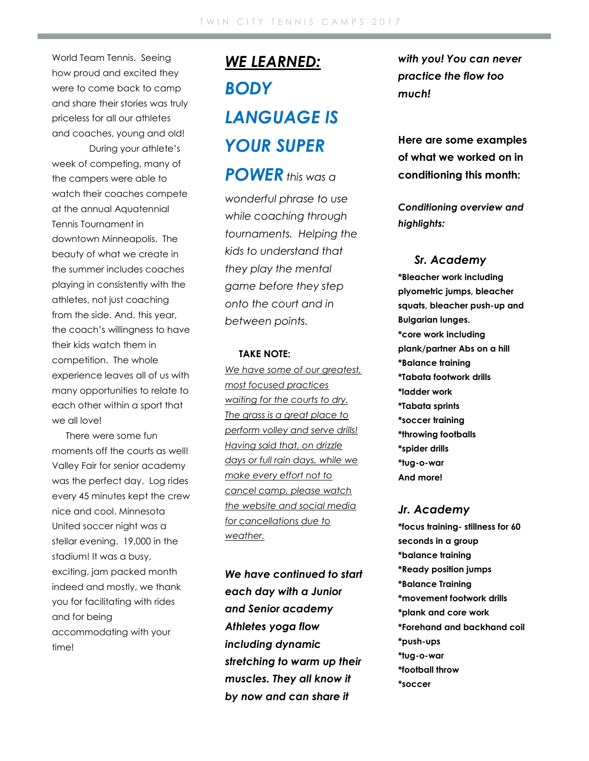World Team Tennis. Seeing how proud and excited they were to come back to camp and share their stories was truly priceless for all our athletes and coaches, young and old!

During your athlete's week of competing, many of the campers were able to watch their coaches compete at the annual Aquatennial Tennis Tournament in downtown Minneapolis. The beauty of what we create in the summer includes coaches playing in consistently with the athletes, not just coaching from the side. And, this year, the coach's willingness to have their kids watch them in competition. The whole experience leaves all of us with many opportunities to relate to each other within a sport that we all love!

There were some fun moments off the courts as well! Valley Fair for senior academy was the perfect day. Log rides every 45 minutes kept the crew nice and cool. Minnesota United soccer night was a stellar evening. 19,000 in the stadium! It was a busy, exciting, jam packed month indeed and mostly, we thank you for facilitating with rides and for being accommodating with your time!

# *WE LEARNED: BODY LANGUAGE IS YOUR SUPER*

*POWER this was a wonderful phrase to use while coaching through tournaments. Helping the kids to understand that they play the mental game before they step onto the court and in between points.* 

#### **TAKE NOTE:**

*We have some of our greatest, most focused practices waiting for the courts to dry. The grass is a great place to perform volley and serve drills! Having said that, on drizzle days or full rain days, while we make every effort not to cancel camp, please watch the website and social media for cancellations due to weather.* 

*We have continued to start each day with a Junior and Senior academy Athletes yoga flow including dynamic stretching to warm up their muscles. They all know it by now and can share it* 

*with you! You can never practice the flow too much!*

**Here are some examples of what we worked on in conditioning this month:**

*Conditioning overview and highlights:*

#### *Sr. Academy*

**\*Bleacher work including plyometric jumps, bleacher squats, bleacher push-up and Bulgarian lunges. \*core work including plank/partner Abs on a hill \*Balance training \*Tabata footwork drills \*ladder work \*Tabata sprints \*soccer training \*throwing footballs \*spider drills \*tug-o-war And more!**

#### *Jr. Academy*

**\*focus training- stillness for 60 seconds in a group \*balance training \*Ready position jumps \*Balance Training \*movement footwork drills \*plank and core work \*Forehand and backhand coil \*push-ups \*tug-o-war \*football throw \*soccer**